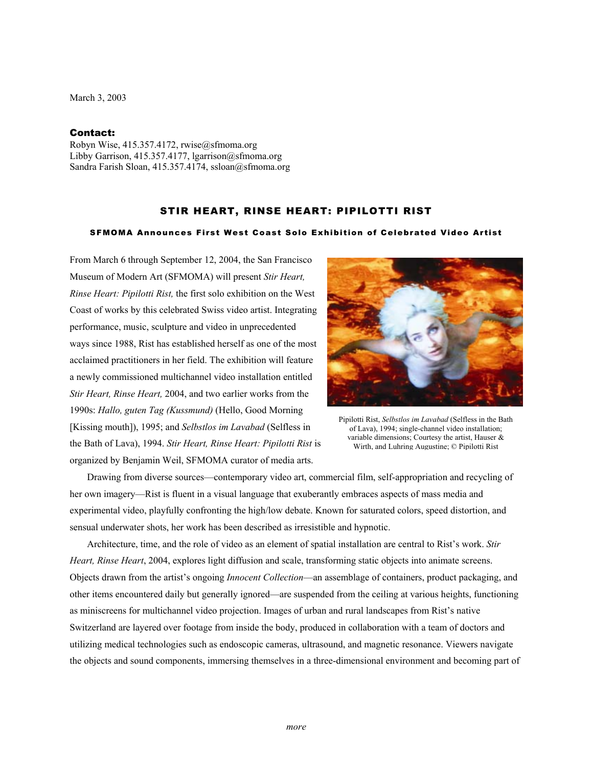March 3, 2003

## Contact:

Robyn Wise, 415.357.4172, rwise@sfmoma.org Libby Garrison, 415.357.4177, lgarrison@sfmoma.org Sandra Farish Sloan, 415.357.4174, ssloan@sfmoma.org

## STIR HEART, RINSE HEART: PIPILOTTI RIST

## SFMOMA Announces First West Coast Solo Exhibition of Celebrated Video Artist

From March 6 through September 12, 2004, the San Francisco Museum of Modern Art (SFMOMA) will present *Stir Heart, Rinse Heart: Pipilotti Rist,* the first solo exhibition on the West Coast of works by this celebrated Swiss video artist. Integrating performance, music, sculpture and video in unprecedented ways since 1988, Rist has established herself as one of the most acclaimed practitioners in her field. The exhibition will feature a newly commissioned multichannel video installation entitled *Stir Heart, Rinse Heart,* 2004, and two earlier works from the 1990s: *Hallo, guten Tag (Kussmund)* (Hello, Good Morning [Kissing mouth]), 1995; and *Selbstlos im Lavabad* (Selfless in the Bath of Lava), 1994. *Stir Heart, Rinse Heart: Pipilotti Rist* is organized by Benjamin Weil, SFMOMA curator of media arts.



Pipilotti Rist, *Selbstlos im Lavabad* (Selfless in the Bath of Lava), 1994; single-channel video installation; variable dimensions; Courtesy the artist, Hauser & Wirth, and Luhring Augustine; © Pipilotti Rist

 Drawing from diverse sources—contemporary video art, commercial film, self-appropriation and recycling of her own imagery—Rist is fluent in a visual language that exuberantly embraces aspects of mass media and experimental video, playfully confronting the high/low debate. Known for saturated colors, speed distortion, and sensual underwater shots, her work has been described as irresistible and hypnotic.

 Architecture, time, and the role of video as an element of spatial installation are central to Rist's work. *Stir Heart, Rinse Heart*, 2004, explores light diffusion and scale, transforming static objects into animate screens. Objects drawn from the artist's ongoing *Innocent Collection*—an assemblage of containers, product packaging, and other items encountered daily but generally ignored—are suspended from the ceiling at various heights, functioning as miniscreens for multichannel video projection. Images of urban and rural landscapes from Rist's native Switzerland are layered over footage from inside the body, produced in collaboration with a team of doctors and utilizing medical technologies such as endoscopic cameras, ultrasound, and magnetic resonance. Viewers navigate the objects and sound components, immersing themselves in a three-dimensional environment and becoming part of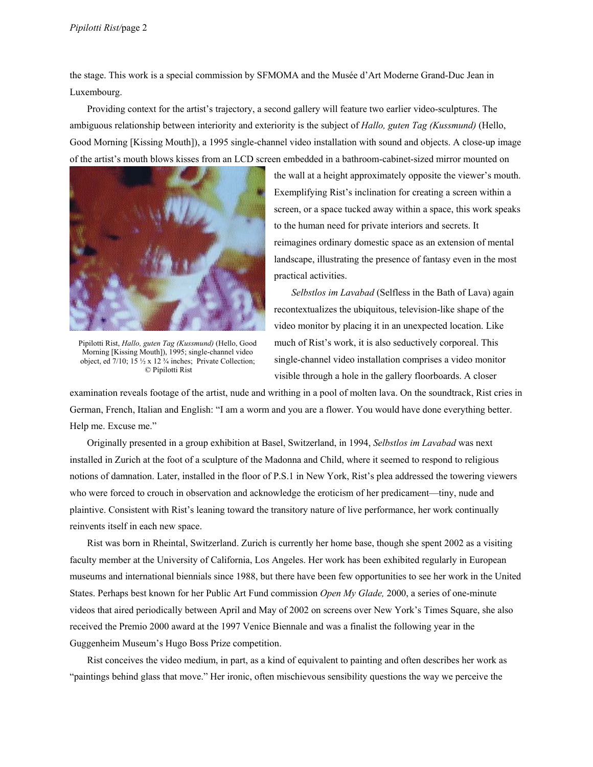the stage. This work is a special commission by SFMOMA and the Musée d'Art Moderne Grand-Duc Jean in Luxembourg.

Providing context for the artist's trajectory, a second gallery will feature two earlier video-sculptures. The ambiguous relationship between interiority and exteriority is the subject of *Hallo, guten Tag (Kussmund)* (Hello, Good Morning [Kissing Mouth]), a 1995 single-channel video installation with sound and objects. A close-up image of the artist's mouth blows kisses from an LCD screen embedded in a bathroom-cabinet-sized mirror mounted on



Pipilotti Rist, *Hallo, guten Tag (Kussmund)* (Hello, Good Morning [Kissing Mouth]), 1995; single-channel video object, ed 7/10; 15 ½ x 12 ¾ inches; Private Collection; © Pipilotti Rist

the wall at a height approximately opposite the viewer's mouth. Exemplifying Rist's inclination for creating a screen within a screen, or a space tucked away within a space, this work speaks to the human need for private interiors and secrets. It reimagines ordinary domestic space as an extension of mental landscape, illustrating the presence of fantasy even in the most practical activities.

*Selbstlos im Lavabad* (Selfless in the Bath of Lava) again recontextualizes the ubiquitous, television-like shape of the video monitor by placing it in an unexpected location. Like much of Rist's work, it is also seductively corporeal. This single-channel video installation comprises a video monitor visible through a hole in the gallery floorboards. A closer

examination reveals footage of the artist, nude and writhing in a pool of molten lava. On the soundtrack, Rist cries in German, French, Italian and English: "I am a worm and you are a flower. You would have done everything better. Help me. Excuse me."

 Originally presented in a group exhibition at Basel, Switzerland, in 1994, *Selbstlos im Lavabad* was next installed in Zurich at the foot of a sculpture of the Madonna and Child, where it seemed to respond to religious notions of damnation. Later, installed in the floor of P.S.1 in New York, Rist's plea addressed the towering viewers who were forced to crouch in observation and acknowledge the eroticism of her predicament—tiny, nude and plaintive. Consistent with Rist's leaning toward the transitory nature of live performance, her work continually reinvents itself in each new space.

 Rist was born in Rheintal, Switzerland. Zurich is currently her home base, though she spent 2002 as a visiting faculty member at the University of California, Los Angeles. Her work has been exhibited regularly in European museums and international biennials since 1988, but there have been few opportunities to see her work in the United States. Perhaps best known for her Public Art Fund commission *Open My Glade,* 2000, a series of one-minute videos that aired periodically between April and May of 2002 on screens over New York's Times Square, she also received the Premio 2000 award at the 1997 Venice Biennale and was a finalist the following year in the Guggenheim Museum's Hugo Boss Prize competition.

 Rist conceives the video medium, in part, as a kind of equivalent to painting and often describes her work as "paintings behind glass that move." Her ironic, often mischievous sensibility questions the way we perceive the